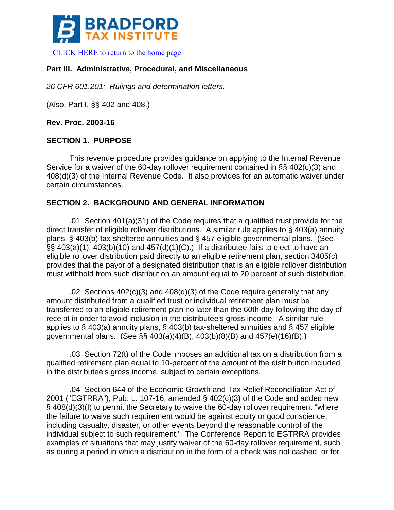

[CLICK HERE to return to the home page](https://www.bradfordtaxinstitute.com) 

# **Part III. Administrative, Procedural, and Miscellaneous**

*26 CFR 601.201: Rulings and determination letters.*

(Also, Part I, §§ 402 and 408.)

**Rev. Proc. 2003-16**

## **SECTION 1. PURPOSE**

This revenue procedure provides guidance on applying to the Internal Revenue Service for a waiver of the 60-day rollover requirement contained in §§ 402(c)(3) and 408(d)(3) of the Internal Revenue Code. It also provides for an automatic waiver under certain circumstances.

# **SECTION 2. BACKGROUND AND GENERAL INFORMATION**

.01 Section 401(a)(31) of the Code requires that a qualified trust provide for the direct transfer of eligible rollover distributions. A similar rule applies to § 403(a) annuity plans, § 403(b) tax-sheltered annuities and § 457 eligible governmental plans. (See  $\S$ § $403(a)(1)$ ,  $403(b)(10)$  and  $457(d)(1)(C)$ .) If a distributee fails to elect to have an eligible rollover distribution paid directly to an eligible retirement plan, section 3405(c) provides that the payor of a designated distribution that is an eligible rollover distribution must withhold from such distribution an amount equal to 20 percent of such distribution.

.02 Sections 402(c)(3) and 408(d)(3) of the Code require generally that any amount distributed from a qualified trust or individual retirement plan must be transferred to an eligible retirement plan no later than the 60th day following the day of receipt in order to avoid inclusion in the distributee's gross income. A similar rule applies to § 403(a) annuity plans, § 403(b) tax-sheltered annuities and § 457 eligible governmental plans. (See §§ 403(a)(4)(B), 403(b)(8)(B) and 457(e)(16)(B).)

.03 Section 72(t) of the Code imposes an additional tax on a distribution from a qualified retirement plan equal to 10-percent of the amount of the distribution included in the distributee's gross income, subject to certain exceptions.

.04 Section 644 of the Economic Growth and Tax Relief Reconciliation Act of 2001 ("EGTRRA"), Pub. L. 107-16, amended § 402(c)(3) of the Code and added new § 408(d)(3)(I) to permit the Secretary to waive the 60-day rollover requirement "where the failure to waive such requirement would be against equity or good conscience, including casualty, disaster, or other events beyond the reasonable control of the individual subject to such requirement." The Conference Report to EGTRRA provides examples of situations that may justify waiver of the 60-day rollover requirement, such as during a period in which a distribution in the form of a check was not cashed, or for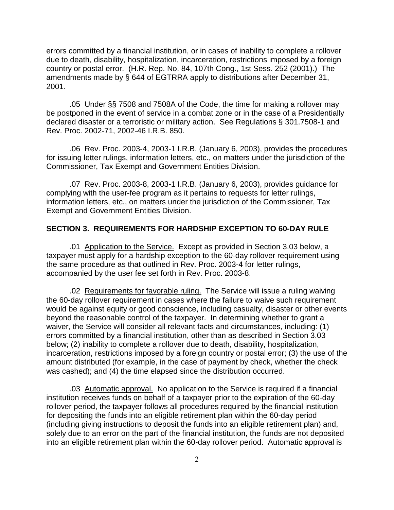errors committed by a financial institution, or in cases of inability to complete a rollover due to death, disability, hospitalization, incarceration, restrictions imposed by a foreign country or postal error. (H.R. Rep. No. 84, 107th Cong., 1st Sess. 252 (2001).) The amendments made by § 644 of EGTRRA apply to distributions after December 31, 2001.

.05 Under §§ 7508 and 7508A of the Code, the time for making a rollover may be postponed in the event of service in a combat zone or in the case of a Presidentially declared disaster or a terroristic or military action. See Regulations § 301.7508-1 and Rev. Proc. 2002-71, 2002-46 I.R.B. 850.

.06 Rev. Proc. 2003-4, 2003-1 I.R.B. (January 6, 2003), provides the procedures for issuing letter rulings, information letters, etc., on matters under the jurisdiction of the Commissioner, Tax Exempt and Government Entities Division.

.07 Rev. Proc. 2003-8, 2003-1 I.R.B. (January 6, 2003), provides guidance for complying with the user-fee program as it pertains to requests for letter rulings, information letters, etc., on matters under the jurisdiction of the Commissioner, Tax Exempt and Government Entities Division.

#### **SECTION 3. REQUIREMENTS FOR HARDSHIP EXCEPTION TO 60-DAY RULE**

.01 Application to the Service. Except as provided in Section 3.03 below, a taxpayer must apply for a hardship exception to the 60-day rollover requirement using the same procedure as that outlined in Rev. Proc. 2003-4 for letter rulings, accompanied by the user fee set forth in Rev. Proc. 2003-8.

.02 Requirements for favorable ruling. The Service will issue a ruling waiving the 60-day rollover requirement in cases where the failure to waive such requirement would be against equity or good conscience, including casualty, disaster or other events beyond the reasonable control of the taxpayer. In determining whether to grant a waiver, the Service will consider all relevant facts and circumstances, including: (1) errors committed by a financial institution, other than as described in Section 3.03 below; (2) inability to complete a rollover due to death, disability, hospitalization, incarceration, restrictions imposed by a foreign country or postal error; (3) the use of the amount distributed (for example, in the case of payment by check, whether the check was cashed); and (4) the time elapsed since the distribution occurred.

.03 Automatic approval. No application to the Service is required if a financial institution receives funds on behalf of a taxpayer prior to the expiration of the 60-day rollover period, the taxpayer follows all procedures required by the financial institution for depositing the funds into an eligible retirement plan within the 60-day period (including giving instructions to deposit the funds into an eligible retirement plan) and, solely due to an error on the part of the financial institution, the funds are not deposited into an eligible retirement plan within the 60-day rollover period. Automatic approval is